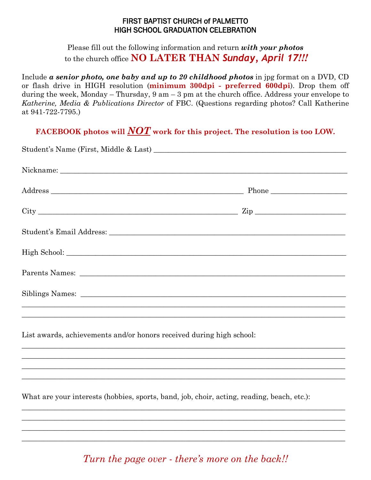## FIRST BAPTIST CHURCH of PALMETTO HIGH SCHOOL GRADUATION CELEBRATION

Please fill out the following information and return *with your photos* to the church office **NO LATER THAN** *Sunday, April 17!!!*

Include *a senior photo, one baby and up to 20 childhood photos* in jpg format on a DVD, CD or flash drive in HIGH resolution (**minimum 300dpi - preferred 600dpi**). Drop them off during the week, Monday – Thursday,  $9 \text{ am} - 3 \text{ pm}$  at the church office. Address your envelope to *Katherine, Media & Publications Director* of FBC. (Questions regarding photos? Call Katherine at 941-722-7795.)

**FACEBOOK photos will** *NOT* **work for this project. The resolution is too LOW.**

|                                                                      | $City$ $Zip$                                                                                                                                                                               |  |
|----------------------------------------------------------------------|--------------------------------------------------------------------------------------------------------------------------------------------------------------------------------------------|--|
|                                                                      |                                                                                                                                                                                            |  |
|                                                                      |                                                                                                                                                                                            |  |
|                                                                      |                                                                                                                                                                                            |  |
|                                                                      |                                                                                                                                                                                            |  |
|                                                                      | <u> 1989 - Johann John Stone, Amerikaansk politiker (d. 1989)</u><br><u> 1989 - Johann Stoff, amerikan bestein de stad in de stad in de stad in de stad in de stad in de stad in de st</u> |  |
| List awards, achievements and/or honors received during high school: |                                                                                                                                                                                            |  |
|                                                                      | <u> 1989 - Johann Stoff, deutscher Stoff, der Stoff, der Stoff, der Stoff, der Stoff, der Stoff, der Stoff, der S</u>                                                                      |  |
|                                                                      |                                                                                                                                                                                            |  |
|                                                                      |                                                                                                                                                                                            |  |

What are your interests (hobbies, sports, band, job, choir, acting, reading, beach, etc.):

*Turn the page over - there's more on the back!!*

 $\_$  , and the set of the set of the set of the set of the set of the set of the set of the set of the set of the set of the set of the set of the set of the set of the set of the set of the set of the set of the set of th  $\_$  , and the set of the set of the set of the set of the set of the set of the set of the set of the set of the set of the set of the set of the set of the set of the set of the set of the set of the set of the set of th  $\_$  , and the set of the set of the set of the set of the set of the set of the set of the set of the set of the set of the set of the set of the set of the set of the set of the set of the set of the set of the set of th  $\_$  , and the set of the set of the set of the set of the set of the set of the set of the set of the set of the set of the set of the set of the set of the set of the set of the set of the set of the set of the set of th